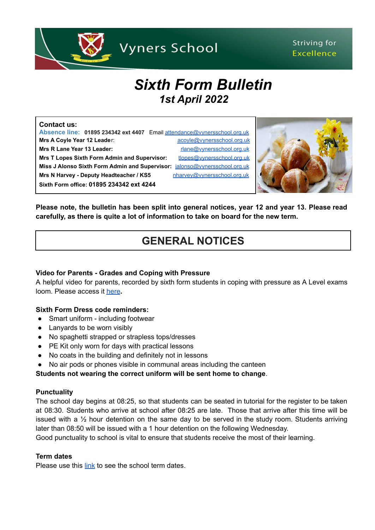

### Striving for **Excellence**

# *Sixth Form Bulletin 1st April 2022*

#### **Contact us:**

**Absence line: 01895 234342 ext 4407** Email [attendance@vynersschool.org.uk](mailto:attendance@vynersschool.org.uk) **Mrs A Coyle Year 12 Leader:** [acoyle@vynersschool.org.uk](mailto:acoyle@vynersschool.org.uk) **Mrs R Lane Year 13 Leader:** research and the research of the research of the research of the research of the research of the research of the research of the research of the research of the research of the research of the **Mrs T Lopes Sixth Form Admin and Supervisor:** [tlopes@vynersschool.org.uk](mailto:tlopes@vynersschool.org.uk) **Miss J Alonso Sixth Form Admin and Supervisor:** [jalonso@vynersschool.org.uk](mailto:jalonso@vynersschool.org.uk) Mrs N Harvey - Deputy Headteacher / KS5 [nharvey@vynersschool.org.uk](mailto:nharvey@vynersschool.org.uk)





**Please note, the bulletin has been split into general notices, year 12 and year 13. Please read carefully, as there is quite a lot of information to take on board for the new term.**

# **GENERAL NOTICES**

#### **Video for Parents - Grades and Coping with Pressure**

A helpful video for parents, recorded by sixth form students in coping with pressure as A Level exams loom. Please access it [here](https://www.netsixthform.co.uk/resources/view/video-for-parents-3-grades-and-coping-with-pressure?utm_source=Head+of+Sixth+Free+Newsletter&utm_campaign=59b30ee932-28+March+2022&utm_medium=email&utm_term=0_36c44588b4-59b30ee932-116067375&mc_cid=59b30ee932&mc_eid=0021e76cf)**.**

#### **Sixth Form Dress code reminders:**

- Smart uniform including footwear
- Lanyards to be worn visibly
- No spaghetti strapped or strapless tops/dresses
- PE Kit only worn for days with practical lessons
- No coats in the building and definitely not in lessons
- No air pods or phones visible in communal areas including the canteen

#### **Students not wearing the correct uniform will be sent home to change**.

#### **Punctuality**

The school day begins at 08:25, so that students can be seated in tutorial for the register to be taken at 08:30. Students who arrive at school after 08:25 are late. Those that arrive after this time will be issued with a  $\frac{1}{2}$  hour detention on the same day to be served in the study room. Students arriving later than 08:50 will be issued with a 1 hour detention on the following Wednesday.

Good punctuality to school is vital to ensure that students receive the most of their learning.

#### **Term dates**

Please use this [link](https://www.vynersschool.org.uk/page/?title=Term+Dates&pid=79) to see the school term dates.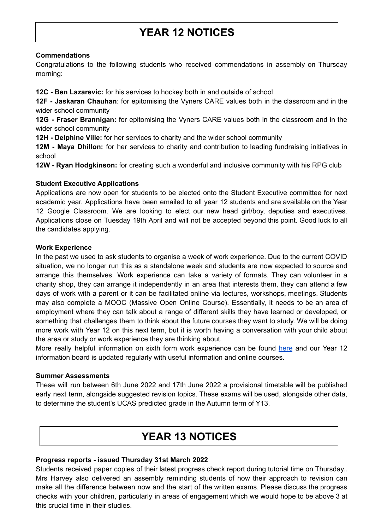## **YEAR 12 NOTICES**

#### **Commendations**

Congratulations to the following students who received commendations in assembly on Thursday morning:

**12C - Ben Lazarevic:** for his services to hockey both in and outside of school

**12F - Jaskaran Chauhan**: for epitomising the Vyners CARE values both in the classroom and in the wider school community

**12G - Fraser Brannigan:** for epitomising the Vyners CARE values both in the classroom and in the wider school community

**12H - Delphine Ville:** for her services to charity and the wider school community

**12M - Maya Dhillon:** for her services to charity and contribution to leading fundraising initiatives in school

**12W - Ryan Hodgkinson:** for creating such a wonderful and inclusive community with his RPG club

#### **Student Executive Applications**

Applications are now open for students to be elected onto the Student Executive committee for next academic year. Applications have been emailed to all year 12 students and are available on the Year 12 Google Classroom. We are looking to elect our new head girl/boy, deputies and executives. Applications close on Tuesday 19th April and will not be accepted beyond this point. Good luck to all the candidates applying.

#### **Work Experience**

In the past we used to ask students to organise a week of work experience. Due to the current COVID situation, we no longer run this as a standalone week and students are now expected to source and arrange this themselves. Work experience can take a variety of formats. They can volunteer in a charity shop, they can arrange it independently in an area that interests them, they can attend a few days of work with a parent or it can be facilitated online via lectures, workshops, meetings. Students may also complete a MOOC (Massive Open Online Course). Essentially, it needs to be an area of employment where they can talk about a range of different skills they have learned or developed, or something that challenges them to think about the future courses they want to study. We will be doing more work with Year 12 on this next term, but it is worth having a conversation with your child about the area or study or work experience they are thinking about.

More really helpful information on sixth form work experience can be found [here](https://www.ucas.com/undergraduate/applying-university/writing-your-personal-statement/work-experience-and-volunteering) and our Year 12 information board is updated regularly with useful information and online courses.

#### **Summer Assessments**

These will run between 6th June 2022 and 17th June 2022 a provisional timetable will be published early next term, alongside suggested revision topics. These exams will be used, alongside other data, to determine the student's UCAS predicted grade in the Autumn term of Y13.

### **YEAR 13 NOTICES**

#### **Progress reports - issued Thursday 31st March 2022**

Students received paper copies of their latest progress check report during tutorial time on Thursday.. Mrs Harvey also delivered an assembly reminding students of how their approach to revision can make all the difference between now and the start of the written exams. Please discuss the progress checks with your children, particularly in areas of engagement which we would hope to be above 3 at this crucial time in their studies.